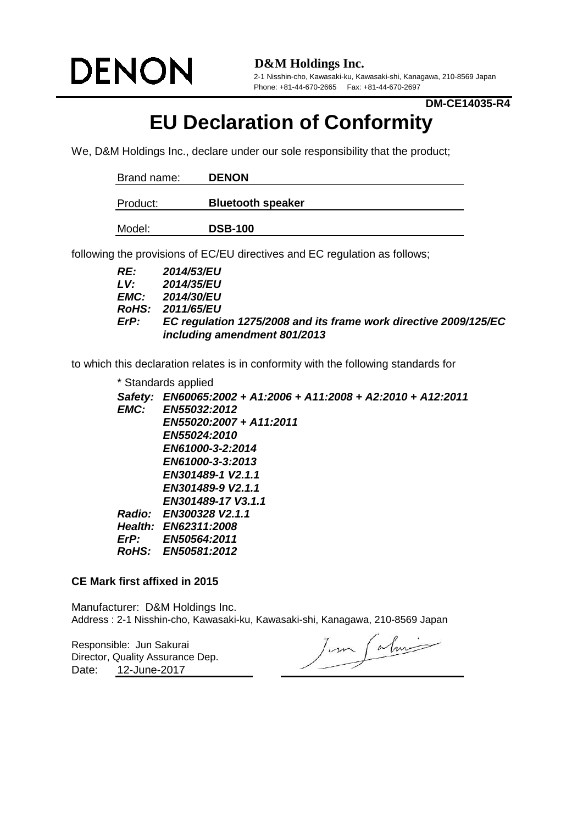

**D&M Holdings Inc.**

2-1 Nisshin-cho, Kawasaki-ku, Kawasaki-shi, Kanagawa, 210-8569 Japan Phone: +81-44-670-2665 Fax: +81-44-670-2697

**DM-CE14035-R4**

## **EU Declaration of Conformity**

We, D&M Holdings Inc., declare under our sole responsibility that the product;

| Brand name: | <b>DENON</b>             |  |  |
|-------------|--------------------------|--|--|
| Product:    | <b>Bluetooth speaker</b> |  |  |
| Model:      | <b>DSB-100</b>           |  |  |

following the provisions of EC/EU directives and EC regulation as follows;

| RE:  | <b>2014/53/EU</b>                                                |
|------|------------------------------------------------------------------|
| LV:  | <b>2014/35/EU</b>                                                |
|      | <b>EMC:</b> 2014/30/EU                                           |
|      | <b>RoHS: 2011/65/EU</b>                                          |
| ErP: | EC regulation 1275/2008 and its frame work directive 2009/125/EC |
|      | including amendment 801/2013                                     |

to which this declaration relates is in conformity with the following standards for

|                | * Standards applied                                    |
|----------------|--------------------------------------------------------|
| Safety:        | EN60065:2002 + A1:2006 + A11:2008 + A2:2010 + A12:2011 |
| EMC:           | EN55032:2012                                           |
|                | EN55020:2007 + A11:2011                                |
|                | EN55024:2010                                           |
|                | EN61000-3-2:2014                                       |
|                | EN61000-3-3:2013                                       |
|                | EN301489-1 V2.1.1                                      |
|                | EN301489-9 V2.1.1                                      |
|                | EN301489-17 V3.1.1                                     |
|                | Radio: EN300328 V2.1.1                                 |
| <b>Health:</b> | EN62311:2008                                           |
| $E$ r $P$ :    | <b>EN50564:2011</b>                                    |
|                | RoHS: EN50581:2012                                     |
|                |                                                        |

## **CE Mark first affixed in 2015**

Manufacturer: D&M Holdings Inc. Address : 2-1 Nisshin-cho, Kawasaki-ku, Kawasaki-shi, Kanagawa, 210-8569 Japan

Responsible: Jun Sakurai Date: 12-June-2017 Director, Quality Assurance Dep.

Jum Calmi